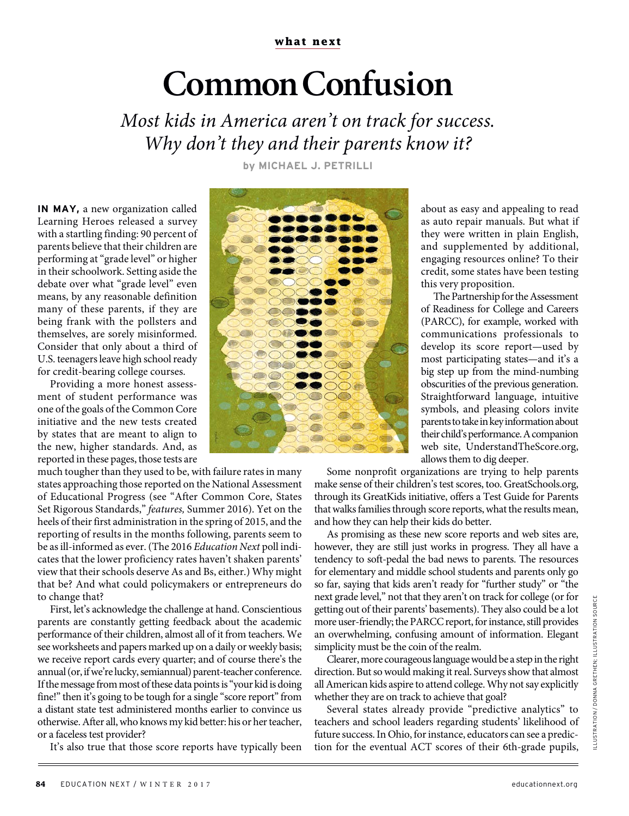## **what next**

## **Common Confusion**

Most kids in America aren't on track for success. Why don't they and their parents know it?

**by MICHAEL J. PETRILLI**

**IN MAY,** a new organization called Learning Heroes released a survey with a startling finding: 90 percent of parents believe that their children are performing at "grade level" or higher in their schoolwork. Setting aside the debate over what "grade level" even means, by any reasonable definition many of these parents, if they are being frank with the pollsters and themselves, are sorely misinformed. Consider that only about a third of U.S. teenagers leave high school ready for credit-bearing college courses.

Providing a more honest assessment of student performance was one of the goals of the Common Core initiative and the new tests created by states that are meant to align to the new, higher standards. And, as reported in these pages, those tests are

much tougher than they used to be, with failure rates in many states approaching those reported on the National Assessment of Educational Progress (see "After Common Core, States Set Rigorous Standards," features, Summer 2016). Yet on the heels of their first administration in the spring of 2015, and the reporting of results in the months following, parents seem to be as ill-informed as ever. (The 2016 Education Next poll indicates that the lower proficiency rates haven't shaken parents' view that their schools deserve As and Bs, either.) Why might that be? And what could policymakers or entrepreneurs do to change that?

First, let's acknowledge the challenge at hand. Conscientious parents are constantly getting feedback about the academic performance of their children, almost all of it from teachers. We see worksheets and papers marked up on a daily or weekly basis; we receive report cards every quarter; and of course there's the annual (or, if we're lucky, semiannual) parent-teacher conference. If the message from most of these data points is "your kid is doing fine!" then it's going to be tough for a single "score report" from a distant state test administered months earlier to convince us otherwise. After all, who knows my kid better: his or her teacher, or a faceless test provider?

It's also true that those score reports have typically been



about as easy and appealing to read as auto repair manuals. But what if they were written in plain English, and supplemented by additional, engaging resources online? To their credit, some states have been testing this very proposition.

The Partnership for the Assessment of Readiness for College and Careers (PARCC), for example, worked with communications professionals to develop its score report—used by most participating states—and it's a big step up from the mind-numbing obscurities of the previous generation. Straightforward language, intuitive symbols, and pleasing colors invite parents to take in key information about their child's performance. A companion web site, UnderstandTheScore.org, allows them to dig deeper.

Some nonprofit organizations are trying to help parents make sense of their children's test scores, too. GreatSchools.org, through its GreatKids initiative, offers a Test Guide for Parents that walks families through score reports, what the results mean, and how they can help their kids do better.

As promising as these new score reports and web sites are, however, they are still just works in progress. They all have a tendency to soft-pedal the bad news to parents. The resources for elementary and middle school students and parents only go so far, saying that kids aren't ready for "further study" or "the next grade level," not that they aren't on track for college (or for getting out of their parents' basements). They also could be a lot more user-friendly; the PARCC report, for instance, still provides an overwhelming, confusing amount of information. Elegant simplicity must be the coin of the realm.

Clearer, more courageous language would be a step in the right direction. But so would making it real. Surveys show that almost all American kids aspire to attend college. Why not say explicitly whether they are on track to achieve that goal?

Several states already provide "predictive analytics" to teachers and school leaders regarding students' likelihood of future success. In Ohio, for instance, educators can see a prediction for the eventual ACT scores of their 6th-grade pupils,